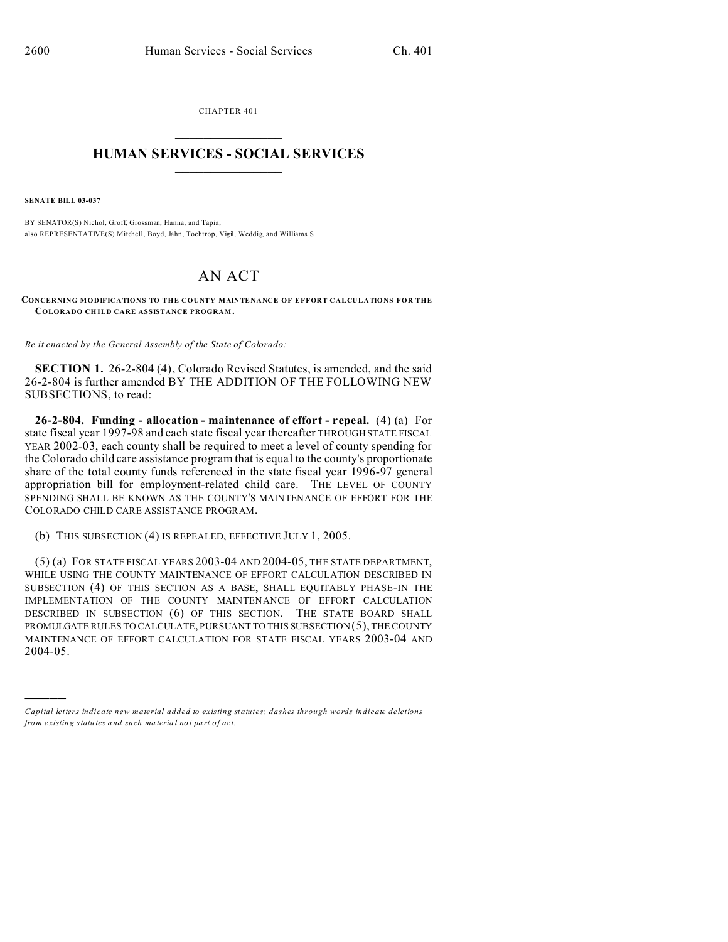CHAPTER 401  $\overline{\phantom{a}}$  , where  $\overline{\phantom{a}}$ 

## **HUMAN SERVICES - SOCIAL SERVICES**  $\frac{1}{2}$  ,  $\frac{1}{2}$  ,  $\frac{1}{2}$  ,  $\frac{1}{2}$  ,  $\frac{1}{2}$  ,  $\frac{1}{2}$

**SENATE BILL 03-037**

)))))

BY SENATOR(S) Nichol, Groff, Grossman, Hanna, and Tapia; also REPRESENTATIVE(S) Mitchell, Boyd, Jahn, Tochtrop, Vigil, Weddig, and Williams S.

## AN ACT

**CONCERNING MODIFICATIONS TO THE COUNTY MAINTENANCE OF EFFORT CALCULATIONS FOR THE COLORADO CH ILD CARE ASSISTANCE PROGRAM.**

*Be it enacted by the General Assembly of the State of Colorado:*

**SECTION 1.** 26-2-804 (4), Colorado Revised Statutes, is amended, and the said 26-2-804 is further amended BY THE ADDITION OF THE FOLLOWING NEW SUBSECTIONS, to read:

**26-2-804. Funding - allocation - maintenance of effort - repeal.** (4) (a) For state fiscal year 1997-98 and each state fiscal year thereafter THROUGH STATE FISCAL YEAR 2002-03, each county shall be required to meet a level of county spending for the Colorado child care assistance program that is equal to the county's proportionate share of the total county funds referenced in the state fiscal year 1996-97 general appropriation bill for employment-related child care. THE LEVEL OF COUNTY SPENDING SHALL BE KNOWN AS THE COUNTY'S MAINTENANCE OF EFFORT FOR THE COLORADO CHILD CARE ASSISTANCE PROGRAM.

(b) THIS SUBSECTION (4) IS REPEALED, EFFECTIVE JULY 1, 2005.

(5) (a) FOR STATE FISCAL YEARS 2003-04 AND 2004-05, THE STATE DEPARTMENT, WHILE USING THE COUNTY MAINTENANCE OF EFFORT CALCULATION DESCRIBED IN SUBSECTION (4) OF THIS SECTION AS A BASE, SHALL EQUITABLY PHASE-IN THE IMPLEMENTATION OF THE COUNTY MAINTENANCE OF EFFORT CALCULATION DESCRIBED IN SUBSECTION (6) OF THIS SECTION. THE STATE BOARD SHALL PROMULGATE RULES TO CALCULATE, PURSUANT TO THIS SUBSECTION (5), THE COUNTY MAINTENANCE OF EFFORT CALCULATION FOR STATE FISCAL YEARS 2003-04 AND 2004-05.

*Capital letters indicate new material added to existing statutes; dashes through words indicate deletions from e xistin g statu tes a nd such ma teria l no t pa rt of ac t.*